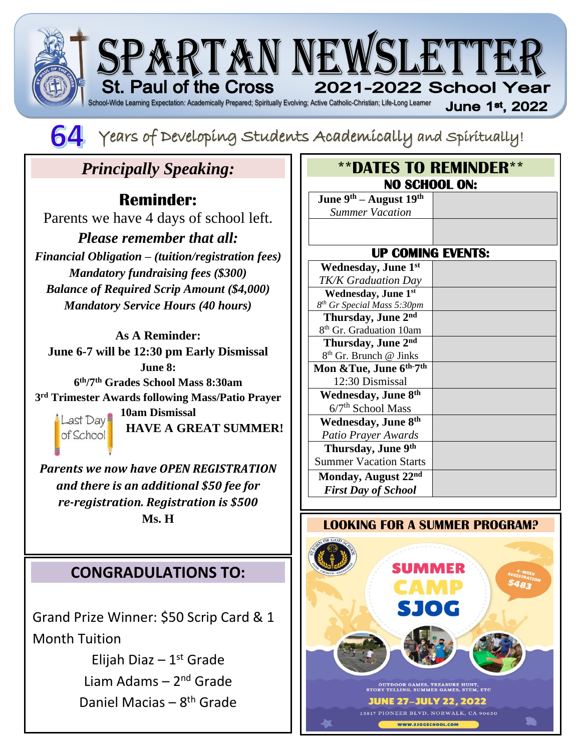



64 Years of Developing Students Academically and spiritually!

# *Principally Speaking:*

### **Reminder:**

Parents we have 4 days of school left.

*Please remember that all: Financial Obligation – (tuition/registration fees) Mandatory fundraising fees (\$300) Balance of Required Scrip Amount (\$4,000) Mandatory Service Hours (40 hours)*

**As A Reminder: June 6-7 will be 12:30 pm Early Dismissal June 8: 6 th/7th Grades School Mass 8:30am 3 rd Trimester Awards following Mass/Patio Prayer Last Day 10am Dismissal** 



**HAVE A GREAT SUMMER!**

*Parents we now have OPEN REGISTRATION and there is an additional \$50 fee for re-registration. Registration is \$500*  **Ms. H**

## **CONGRADULATIONS TO:**

Grand Prize Winner: \$50 Scrip Card & 1 Month Tuition

> Elijah Diaz - 1st Grade Liam Adams - 2<sup>nd</sup> Grade Daniel Macias - 8<sup>th</sup> Grade

| <b><i><b>**DATES TO REMINDER**</b></i></b> |  |  |
|--------------------------------------------|--|--|
| <b>NO SCHOOL ON:</b>                       |  |  |
| June $9th$ – August $19th$                 |  |  |
| <b>Summer Vacation</b>                     |  |  |
|                                            |  |  |
| <b>UP COMING EVENTS:</b>                   |  |  |
| <b>Wednesday</b> , June 1st                |  |  |
| <b>TK/K Graduation Day</b>                 |  |  |
| Wednesday, June 1st                        |  |  |
| 8 <sup>th</sup> Gr Special Mass 5:30pm     |  |  |
| Thursday, June 2nd                         |  |  |
| 8 <sup>th</sup> Gr. Graduation 10am        |  |  |
| Thursday, June 2nd                         |  |  |
| 8 <sup>th</sup> Gr. Brunch @ Jinks         |  |  |
| Mon & Tue, June 6th-7th                    |  |  |
| 12:30 Dismissal                            |  |  |
| Wednesday, June 8th                        |  |  |
| 6/7 <sup>th</sup> School Mass              |  |  |
| Wednesday, June 8th                        |  |  |
| Patio Prayer Awards                        |  |  |
| Thursday, June 9th                         |  |  |
| <b>Summer Vacation Starts</b>              |  |  |
| Monday, August 22nd                        |  |  |
| <b>First Day of School</b>                 |  |  |

#### **LOOKING FOR A SUMMER PROGRAM?**